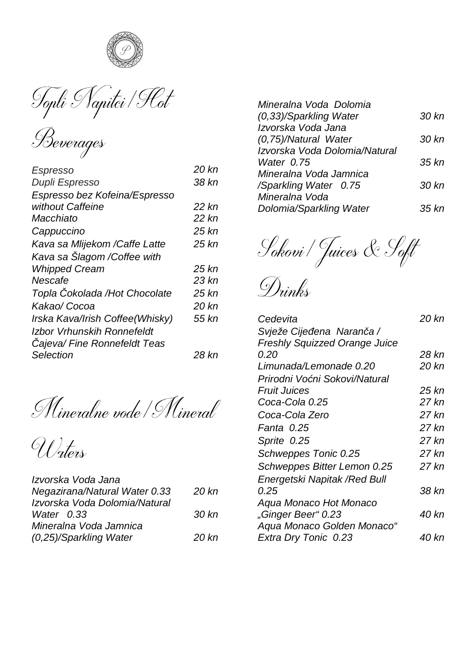

Topli Napitei / Flot

| Beverages |
|-----------|
|           |

| Espresso                        | 20 kn |
|---------------------------------|-------|
| Dupli Espresso                  | 38 kn |
| Espresso bez Kofeina/Espresso   |       |
| without Caffeine                | 22 kn |
| Macchiato                       | 22 kn |
| Cappuccino                      | 25 kn |
| Kava sa Mlijekom /Caffe Latte   | 25 kn |
| Kava sa Šlagom /Coffee with     |       |
| <b>Whipped Cream</b>            | 25 kn |
| Nescafe                         | 23 kn |
| Topla Čokolada /Hot Chocolate   | 25 kn |
| Kakao/ Cocoa                    | 20 kn |
| Irska Kava/Irish Coffee(Whisky) | 55 kn |
| Izhor Vrhunskih Ronnefeldt      |       |
| Cajeva/ Fine Ronnefeldt Teas    |       |
| Selection                       | 28 kn |

Mineralne vode / Mineral

Waters

| 20 kn |
|-------|
|       |
| 30 kn |
|       |
| 20 kn |
|       |

| Mineralna Voda Dolomia        |       |
|-------------------------------|-------|
| (0.33)/Sparkling Water        | 30 kn |
| Izvorska Voda Jana            |       |
| (0.75)/Natural Water          | 30 kn |
| Izvorska Voda Dolomia/Natural |       |
| Water 0.75                    | 35 kn |
| Mineralna Voda Jamnica        |       |
| /Sparkling Water 0.75         | 30 kn |
| Mineralna Voda                |       |
| Dolomia/Sparkling Water       | 35 kn |

Sokovi / Juices & Soft

Drinks

| Cedevita                             | 20 kn |
|--------------------------------------|-------|
| Svieže Cijeđena Naranča /            |       |
| <b>Freshly Squizzed Orange Juice</b> |       |
| 0.20                                 | 28 kn |
| Limunada/Lemonade 0.20               | 20 kn |
| Prirodni Voćni Sokovi/Natural        |       |
| Fruit Juices                         | 25 kn |
| Coca-Cola 0.25                       | 27 kn |
| Coca-Cola Zero                       | 27 kn |
| Fanta 0.25                           | 27 kn |
| Sprite 0.25                          | 27 kn |
| Schweppes Tonic 0.25                 | 27 kn |
| Schweppes Bitter Lemon 0.25          | 27 kn |
| Energetski Napitak /Red Bull         |       |
| 0.25                                 | 38 kn |
| Agua Monaco Hot Monaco               |       |
| "Ginger Beer" 0.23                   | 40 kn |
| Aqua Monaco Golden Monaco"           |       |
| Extra Dry Tonic 0.23                 | 40 kn |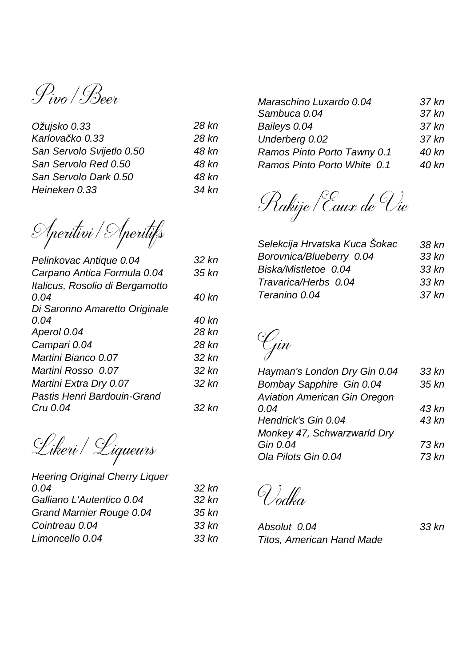Pivo / Beer

| Ožujsko 0.33              | 28 kn |
|---------------------------|-------|
| Karlovačko 0.33           | 28 kn |
| San Servolo Svijetlo 0.50 | 48 kn |
| San Servolo Red 0.50      | 48 kn |
| San Servolo Dark 0.50     | 48 kn |
| Heineken 0.33             | 34 kn |
|                           |       |

Aperitivi / Aperitifs

| Pelinkovac Antique 0.04         | 32 kn |
|---------------------------------|-------|
| Carpano Antica Formula 0.04     | 35 kn |
| Italicus, Rosolio di Bergamotto |       |
| 0.04                            | 40 kn |
| Di Saronno Amaretto Originale   |       |
| 0.04                            | 40 kn |
| Aperol 0.04                     | 28 kn |
| Campari 0.04                    | 28 kn |
| Martini Bianco 0.07             | 32 kn |
| Martini Rosso, 0.07             | 32 kn |
| Martini Extra Dry 0.07          | 32 kn |
| Pastis Henri Bardouin-Grand     |       |
| Cru 0.04                        | 32 kn |

Likeri/Liqueurs

| 32 kn |
|-------|
| 32 kn |
| 35 kn |
| 33 kn |
| 33 kn |
|       |

| Maraschino Luxardo 0.04     | 37 kn |
|-----------------------------|-------|
| Sambuca 0.04                | 37 kn |
| Baileys 0.04                | 37 kn |
| Underberg 0.02              | 37 kn |
| Ramos Pinto Porto Tawny 0.1 | 40 kn |
| Ramos Pinto Porto White 0.1 | 40 kn |



| Selekcija Hrvatska Kuca Šokac | 38 kn |
|-------------------------------|-------|
| Borovnica/Blueberry 0.04      | 33 kn |
| Biska/Mistletoe 0.04          | 33 kn |
| Travarica/Herbs 0.04          | 33 kn |
| Teranino 0.04                 | 37 kn |

Gin

| Hayman's London Dry Gin 0.04        | 33 kn |
|-------------------------------------|-------|
| Bombay Sapphire Gin 0.04            | 35 kn |
| <b>Aviation American Gin Oregon</b> |       |
| 0.04                                | 43 kn |
| Hendrick's Gin 0.04                 | 43 kn |
| Monkey 47, Schwarzwarld Dry         |       |
| Gin 0.04                            | 73 kn |
| Ola Pilots Gin 0.04                 | 73 kn |

Vodka

| Absolut 0.04              | 33 kn |
|---------------------------|-------|
| Titos, American Hand Made |       |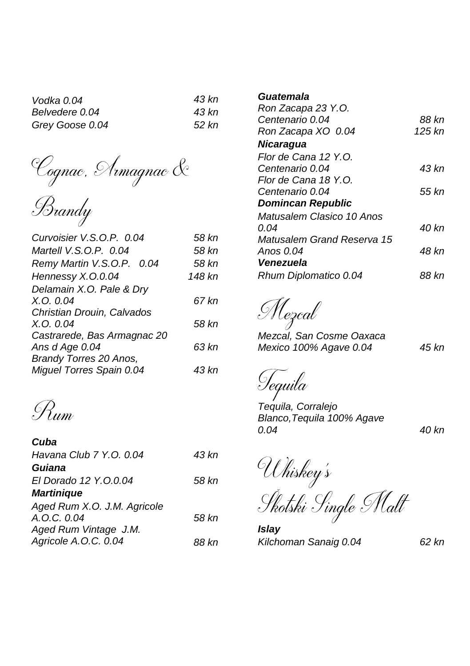| Vodka 0.04      | 43 kn |
|-----------------|-------|
| Belvedere 0.04  | 43 kn |
| Grey Goose 0.04 | 52 kn |

'Cognac, Armagnac &

Brandy

| Curvoisier V.S.O.P. 0.04    | 58 kn  |
|-----------------------------|--------|
| Martell V.S.O.P. 0.04       | 58 kn  |
| Remy Martin V.S.O.P. 0.04   | 58 kn  |
| Hennessy X.O.0.04           | 148 kn |
| Delamain X.O. Pale & Dry    |        |
| $X_{.}O_{.}O_{.}O4$         | 67 kn  |
| Christian Drouin, Calvados  |        |
| $X_{.}O_{.}O_{.}O4$         | 58 kn  |
| Castrarede, Bas Armagnac 20 |        |
| Ans d Age 0.04              | 63 kn  |
| Brandy Torres 20 Anos,      |        |
| Miguel Torres Spain 0.04    | 43 kn  |

Rum

| Cuba                        |       |
|-----------------------------|-------|
| Havana Club 7 Y.O. 0.04     | 43 kn |
| Guiana                      |       |
| El Dorado 12 Y.O.0.04       | 58 kn |
| <b>Martinique</b>           |       |
| Aged Rum X.O. J.M. Agricole |       |
| A.O.C. O.04                 | 58 kn |
| Aged Rum Vintage J.M.       |       |
| Agricole A.O.C. 0.04        | 88 kn |

## *Guatemala*

| Ron Zacapa 23 Y.O.               |          |
|----------------------------------|----------|
| Centenario 0.04                  | 88 kn    |
| Ron Zacapa XO 0.04               | $125$ kn |
| Nicaraqua                        |          |
| Flor de Cana 12 Y.O.             |          |
| <i>Centenario 0.04</i>           | 43 kn    |
| Flor de Cana 18 Y.O.             |          |
| Centenario 0.04                  | 55 kn    |
| <b>Domincan Republic</b>         |          |
| <i>Matusalem Clasico 10 Anos</i> |          |
| 0.04                             | 40 kn    |
| Matusalem Grand Reserva 15       |          |
| Anos 0.04                        | 48 kn    |
| Venezuela                        |          |
| Rhum Diplomatico 0.04            | 88 kn    |

Mezcal

*Mezcal, San Cosme Oaxaca Mexico 100% Agave 0.04 45 kn*

Tequila

*Tequila, Corralejo Blanco,Tequila 100% Agave 0.04 40 kn*

Uhiskey's

Škotski Single Malt

*Islay Kilchoman Sanaig 0.04 62 kn*